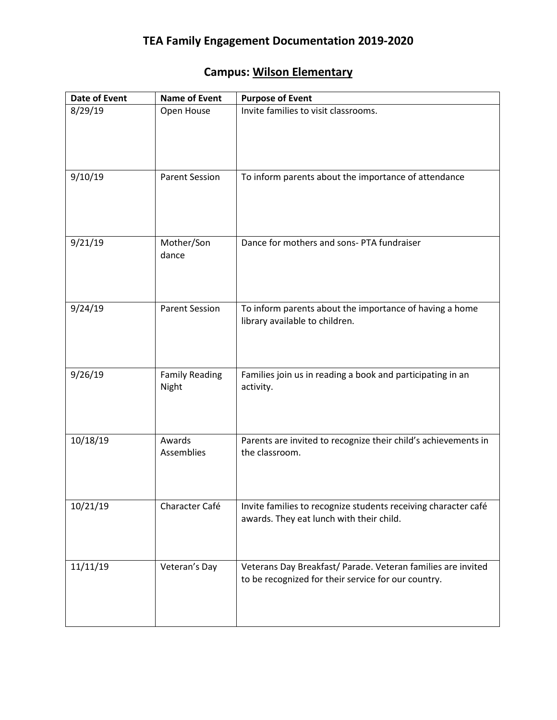## **Campus: Wilson Elementary**

| <b>Date of Event</b> | <b>Name of Event</b>           | <b>Purpose of Event</b>                                                                                             |
|----------------------|--------------------------------|---------------------------------------------------------------------------------------------------------------------|
| 8/29/19              | Open House                     | Invite families to visit classrooms.                                                                                |
| 9/10/19              | <b>Parent Session</b>          | To inform parents about the importance of attendance                                                                |
| 9/21/19              | Mother/Son<br>dance            | Dance for mothers and sons-PTA fundraiser                                                                           |
| 9/24/19              | <b>Parent Session</b>          | To inform parents about the importance of having a home<br>library available to children.                           |
| 9/26/19              | <b>Family Reading</b><br>Night | Families join us in reading a book and participating in an<br>activity.                                             |
| 10/18/19             | Awards<br>Assemblies           | Parents are invited to recognize their child's achievements in<br>the classroom.                                    |
| 10/21/19             | Character Café                 | Invite families to recognize students receiving character café<br>awards. They eat lunch with their child.          |
| 11/11/19             | Veteran's Day                  | Veterans Day Breakfast/ Parade. Veteran families are invited<br>to be recognized for their service for our country. |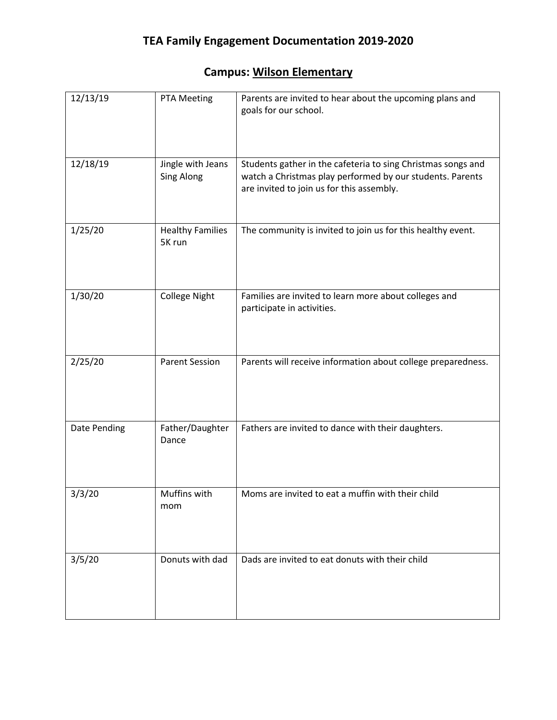## **Campus: Wilson Elementary**

| 12/13/19     | PTA Meeting                            | Parents are invited to hear about the upcoming plans and<br>goals for our school.                                                                                      |
|--------------|----------------------------------------|------------------------------------------------------------------------------------------------------------------------------------------------------------------------|
| 12/18/19     | Jingle with Jeans<br><b>Sing Along</b> | Students gather in the cafeteria to sing Christmas songs and<br>watch a Christmas play performed by our students. Parents<br>are invited to join us for this assembly. |
| 1/25/20      | <b>Healthy Families</b><br>5K run      | The community is invited to join us for this healthy event.                                                                                                            |
| 1/30/20      | <b>College Night</b>                   | Families are invited to learn more about colleges and<br>participate in activities.                                                                                    |
| 2/25/20      | <b>Parent Session</b>                  | Parents will receive information about college preparedness.                                                                                                           |
| Date Pending | Father/Daughter<br>Dance               | Fathers are invited to dance with their daughters.                                                                                                                     |
| 3/3/20       | Muffins with<br>mom                    | Moms are invited to eat a muffin with their child                                                                                                                      |
| 3/5/20       | Donuts with dad                        | Dads are invited to eat donuts with their child                                                                                                                        |